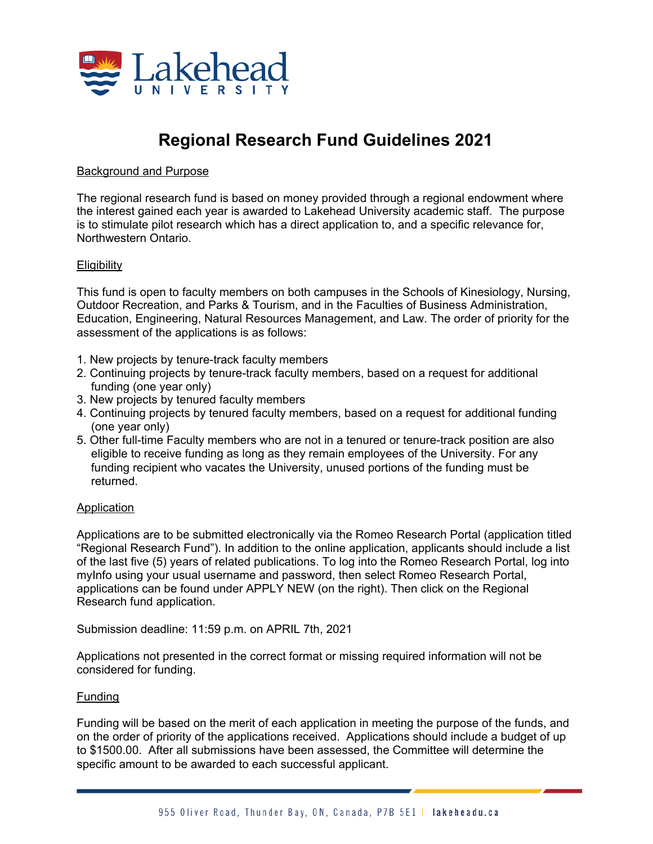

# **Regional Research Fund Guidelines 2021**

## Background and Purpose

The regional research fund is based on money provided through a regional endowment where the interest gained each year is awarded to Lakehead University academic staff. The purpose is to stimulate pilot research which has a direct application to, and a specific relevance for, Northwestern Ontario.

### **Eligibility**

This fund is open to faculty members on both campuses in the Schools of Kinesiology, Nursing, Outdoor Recreation, and Parks & Tourism, and in the Faculties of Business Administration, Education, Engineering, Natural Resources Management, and Law. The order of priority for the assessment of the applications is as follows:

- 1. New projects by tenure-track faculty members
- 2. Continuing projects by tenure-track faculty members, based on a request for additional funding (one year only)
- 3. New projects by tenured faculty members
- 4. Continuing projects by tenured faculty members, based on a request for additional funding (one year only)
- 5. Other full-time Faculty members who are not in a tenured or tenure-track position are also eligible to receive funding as long as they remain employees of the University. For any funding recipient who vacates the University, unused portions of the funding must be returned.

### Application

Applications are to be submitted electronically via the Romeo Research Portal (application titled "Regional Research Fund"). In addition to the online application, applicants should include a list of the last five (5) years of related publications. To log into the Romeo Research Portal, log into myInfo using your usual username and password, then select Romeo Research Portal, applications can be found under APPLY NEW (on the right). Then click on the Regional Research fund application.

Submission deadline: 11:59 p.m. on APRIL 7th, 2021

Applications not presented in the correct format or missing required information will not be considered for funding.

### Funding

Funding will be based on the merit of each application in meeting the purpose of the funds, and on the order of priority of the applications received. Applications should include a budget of up to \$1500.00. After all submissions have been assessed, the Committee will determine the specific amount to be awarded to each successful applicant.